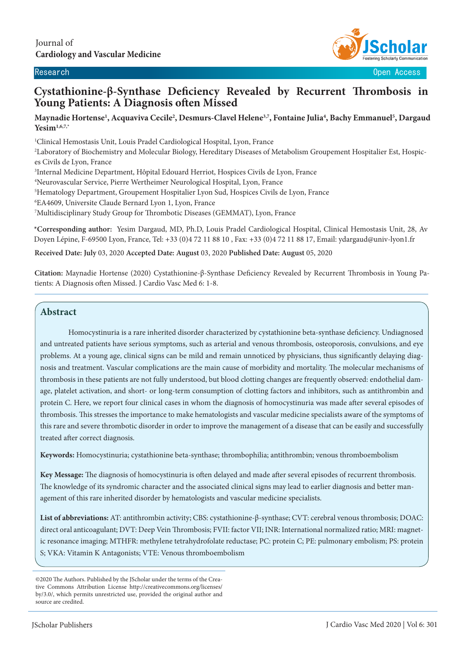

Research Open Access

# **Cystathionine-β-Synthase Deficiency Revealed by Recurrent Thrombosis in Young Patients: A Diagnosis often Missed**

#### **Maynadie Hortense1 , Acquaviva Cecile2 , Desmurs-Clavel Helene3,7, Fontaine Julia4 , Bachy Emmanuel5 , Dargaud Yesim1,6,7,\***

1 Clinical Hemostasis Unit, Louis Pradel Cardiological Hospital, Lyon, France

2 Laboratory of Biochemistry and Molecular Biology, Hereditary Diseases of Metabolism Groupement Hospitalier Est, Hospices Civils de Lyon, France

3 Internal Medicine Department, Hôpital Edouard Herriot, Hospices Civils de Lyon, France

4 Neurovascular Service, Pierre Wertheimer Neurological Hospital, Lyon, France

5 Hematology Department, Groupement Hospitalier Lyon Sud, Hospices Civils de Lyon, France

6 EA4609, Universite Claude Bernard Lyon 1, Lyon, France

7 Multidisciplinary Study Group for Thrombotic Diseases (GEMMAT), Lyon, France

**\*Corresponding author:** Yesim Dargaud, MD, Ph.D, Louis Pradel Cardiological Hospital, Clinical Hemostasis Unit, 28, Av Doyen Lépine, F-69500 Lyon, France, Tel: +33 (0)4 72 11 88 10 , Fax: +33 (0)4 72 11 88 17, Email: ydargaud@univ-lyon1.fr

**Received Date: July** 03, 2020 **Accepted Date: August** 03, 2020 **Published Date: August** 05, 2020

**Citation:** Maynadie Hortense (2020) Cystathionine-β-Synthase Deficiency Revealed by Recurrent Thrombosis in Young Patients: A Diagnosis often Missed. J Cardio Vasc Med 6: 1-8.

### **Abstract**

 $\overline{\phantom{a}}$ 

Homocystinuria is a rare inherited disorder characterized by cystathionine beta-synthase deficiency. Undiagnosed and untreated patients have serious symptoms, such as arterial and venous thrombosis, osteoporosis, convulsions, and eye problems. At a young age, clinical signs can be mild and remain unnoticed by physicians, thus significantly delaying diagnosis and treatment. Vascular complications are the main cause of morbidity and mortality. The molecular mechanisms of thrombosis in these patients are not fully understood, but blood clotting changes are frequently observed: endothelial damage, platelet activation, and short- or long-term consumption of clotting factors and inhibitors, such as antithrombin and protein C. Here, we report four clinical cases in whom the diagnosis of homocystinuria was made after several episodes of thrombosis. This stresses the importance to make hematologists and vascular medicine specialists aware of the symptoms of this rare and severe thrombotic disorder in order to improve the management of a disease that can be easily and successfully treated after correct diagnosis.

**Keywords:** Homocystinuria; cystathionine beta-synthase; thrombophilia; antithrombin; venous thromboembolism

**Key Message:** The diagnosis of homocystinuria is often delayed and made after several episodes of recurrent thrombosis. The knowledge of its syndromic character and the associated clinical signs may lead to earlier diagnosis and better management of this rare inherited disorder by hematologists and vascular medicine specialists.

**List of abbreviations:** AT: antithrombin activity; CBS: cystathionine-β-synthase; CVT: cerebral venous thrombosis; DOAC: direct oral anticoagulant; DVT: Deep Vein Thrombosis; FVII: factor VII; INR: International normalized ratio; MRI: magnetic resonance imaging; MTHFR: methylene tetrahydrofolate reductase; PC: protein C; PE: pulmonary embolism; PS: protein S; VKA: Vitamin K Antagonists; VTE: Venous thromboembolism

<sup>©2020</sup> The Authors. Published by the JScholar under the terms of the Creative Commons Attribution License http://creativecommons.org/licenses/ by/3.0/, which permits unrestricted use, provided the original author and source are credited.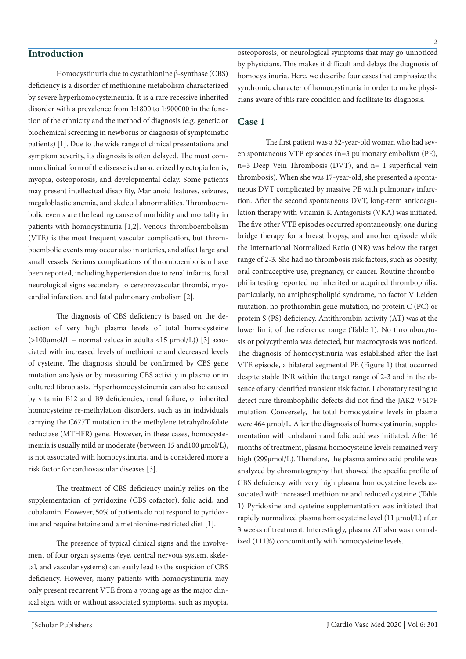## **Introduction**

Homocystinuria due to cystathionine β-synthase (CBS) deficiency is a disorder of methionine metabolism characterized by severe hyperhomocysteinemia. It is a rare recessive inherited disorder with a prevalence from 1:1800 to 1:900000 in the function of the ethnicity and the method of diagnosis (e.g. genetic or biochemical screening in newborns or diagnosis of symptomatic patients) [1]. Due to the wide range of clinical presentations and symptom severity, its diagnosis is often delayed. The most common clinical form of the disease is characterized by ectopia lentis, myopia, osteoporosis, and developmental delay. Some patients may present intellectual disability, Marfanoid features, seizures, megaloblastic anemia, and skeletal abnormalities. Thromboembolic events are the leading cause of morbidity and mortality in patients with homocystinuria [1,2]. Venous thromboembolism (VTE) is the most frequent vascular complication, but thromboembolic events may occur also in arteries, and affect large and small vessels. Serious complications of thromboembolism have been reported, including hypertension due to renal infarcts, focal neurological signs secondary to cerebrovascular thrombi, myocardial infarction, and fatal pulmonary embolism [2].

The diagnosis of CBS deficiency is based on the detection of very high plasma levels of total homocysteine  $(>100\mu \text{mol/L} -$  normal values in adults <15  $\mu \text{mol/L}$ ) [3] associated with increased levels of methionine and decreased levels of cysteine. The diagnosis should be confirmed by CBS gene mutation analysis or by measuring CBS activity in plasma or in cultured fibroblasts. Hyperhomocysteinemia can also be caused by vitamin B12 and B9 deficiencies, renal failure, or inherited homocysteine re-methylation disorders, such as in individuals carrying the C677T mutation in the methylene tetrahydrofolate reductase (MTHFR) gene. However, in these cases, homocysteinemia is usually mild or moderate (between 15 and100 µmol/L), is not associated with homocystinuria, and is considered more a risk factor for cardiovascular diseases [3].

The treatment of CBS deficiency mainly relies on the supplementation of pyridoxine (CBS cofactor), folic acid, and cobalamin. However, 50% of patients do not respond to pyridoxine and require betaine and a methionine-restricted diet [1].

The presence of typical clinical signs and the involvement of four organ systems (eye, central nervous system, skeletal, and vascular systems) can easily lead to the suspicion of CBS deficiency. However, many patients with homocystinuria may only present recurrent VTE from a young age as the major clinical sign, with or without associated symptoms, such as myopia,

osteoporosis, or neurological symptoms that may go unnoticed by physicians. This makes it difficult and delays the diagnosis of homocystinuria. Here, we describe four cases that emphasize the syndromic character of homocystinuria in order to make physicians aware of this rare condition and facilitate its diagnosis.

#### **Case 1**

The first patient was a 52-year-old woman who had seven spontaneous VTE episodes (n=3 pulmonary embolism (PE), n=3 Deep Vein Thrombosis (DVT), and n= 1 superficial vein thrombosis). When she was 17-year-old, she presented a spontaneous DVT complicated by massive PE with pulmonary infarction. After the second spontaneous DVT, long-term anticoagulation therapy with Vitamin K Antagonists (VKA) was initiated. The five other VTE episodes occurred spontaneously, one during bridge therapy for a breast biopsy, and another episode while the International Normalized Ratio (INR) was below the target range of 2-3. She had no thrombosis risk factors, such as obesity, oral contraceptive use, pregnancy, or cancer. Routine thrombophilia testing reported no inherited or acquired thrombophilia, particularly, no antiphospholipid syndrome, no factor V Leiden mutation, no prothrombin gene mutation, no protein C (PC) or protein S (PS) deficiency. Antithrombin activity (AT) was at the lower limit of the reference range (Table 1). No thrombocytosis or polycythemia was detected, but macrocytosis was noticed. The diagnosis of homocystinuria was established after the last VTE episode, a bilateral segmental PE (Figure 1) that occurred despite stable INR within the target range of 2-3 and in the absence of any identified transient risk factor. Laboratory testing to detect rare thrombophilic defects did not find the JAK2 V617F mutation. Conversely, the total homocysteine levels in plasma were 464 µmol/L. After the diagnosis of homocystinuria, supplementation with cobalamin and folic acid was initiated. After 16 months of treatment, plasma homocysteine levels remained very high (299µmol/L). Therefore, the plasma amino acid profile was analyzed by chromatography that showed the specific profile of CBS deficiency with very high plasma homocysteine levels associated with increased methionine and reduced cysteine (Table 1) Pyridoxine and cysteine supplementation was initiated that rapidly normalized plasma homocysteine level (11 µmol/L) after 3 weeks of treatment. Interestingly, plasma AT also was normalized (111%) concomitantly with homocysteine levels.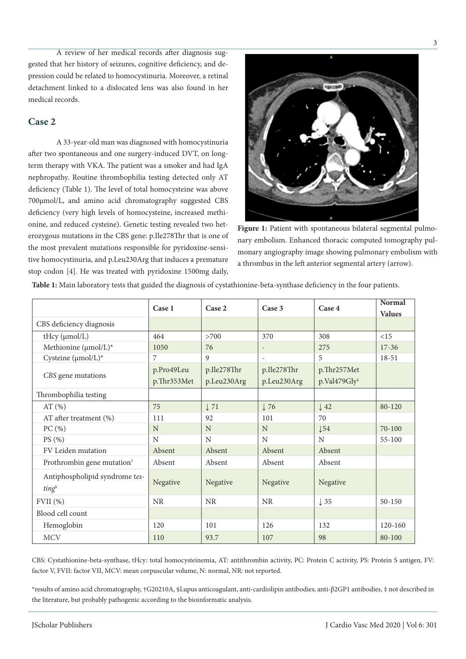A review of her medical records after diagnosis suggested that her history of seizures, cognitive deficiency, and depression could be related to homocystinuria. Moreover, a retinal detachment linked to a dislocated lens was also found in her medical records.

## **Case 2**

A 33-year-old man was diagnosed with homocystinuria after two spontaneous and one surgery-induced DVT, on longterm therapy with VKA. The patient was a smoker and had IgA nephropathy. Routine thrombophilia testing detected only AT deficiency (Table 1). The level of total homocysteine was above 700µmol/L, and amino acid chromatography suggested CBS deficiency (very high levels of homocysteine, increased methionine, and reduced cysteine). Genetic testing revealed two heterozygous mutations in the CBS gene: p.Ile278Thr that is one of the most prevalent mutations responsible for pyridoxine-sensitive homocystinuria, and p.Leu230Arg that induces a premature stop codon [4]. He was treated with pyridoxine 1500mg daily,



Figure 1: Patient with spontaneous bilateral segmental pulmonary embolism. Enhanced thoracic computed tomography pulmonary angiography image showing pulmonary embolism with a thrombus in the left anterior segmental artery (arrow).

|                                        | Case 1      | Case 2          | Case 3                   | Case 4                   | Normal        |
|----------------------------------------|-------------|-----------------|--------------------------|--------------------------|---------------|
|                                        |             |                 |                          |                          | <b>Values</b> |
| CBS deficiency diagnosis               |             |                 |                          |                          |               |
| tHcy (µmol/L)                          | 464         | >700            | 370                      | 308                      | <15           |
| Methionine (µmol/L)*                   | 1050        | 76              |                          | 275                      | $17 - 36$     |
| Cysteine (µmol/L)*                     | 7           | 9               | $\overline{\phantom{a}}$ | 5                        | 18-51         |
| CBS gene mutations                     | p.Pro49Leu  | p.Ile278Thr     | p.Ile278Thr              | p.Thr257Met              |               |
|                                        | p.Thr353Met | p.Leu230Arg     | p.Leu230Arg              | p.Val479Gly <sup>#</sup> |               |
| Thrombophilia testing                  |             |                 |                          |                          |               |
| AT $(\% )$                             | 75          | $\downarrow$ 71 | $\downarrow$ 76          | $\downarrow$ 42          | $80 - 120$    |
| AT after treatment (%)                 | 111         | 92              | 101                      | 70                       |               |
| PC(%)                                  | N           | N               | N                        | $\downarrow$ 54          | $70 - 100$    |
| PS (%)                                 | N           | N               | N                        | N                        | $55 - 100$    |
| FV Leiden mutation                     | Absent      | Absent          | Absent                   | Absent                   |               |
| Prothrombin gene mutation <sup>†</sup> | Absent      | Absent          | Absent                   | Absent                   |               |
| Antiphospholipid syndrome tes-<br>ting | Negative    | Negative        | Negative                 | Negative                 |               |
| FVII(%)                                | <b>NR</b>   | <b>NR</b>       | <b>NR</b>                | $\downarrow$ 35          | $50 - 150$    |
| Blood cell count                       |             |                 |                          |                          |               |
| Hemoglobin                             | 120         | 101             | 126                      | 132                      | 120-160       |
| <b>MCV</b>                             | 110         | 93.7            | 107                      | 98                       | 80-100        |

**Table 1:** Main laboratory tests that guided the diagnosis of cystathionine-beta-synthase deficiency in the four patients.

CBS: Cystathionine-beta-synthase, tHcy: total homocysteinemia, AT: antithrombin activity, PC: Protein C activity, PS: Protein S antigen, FV: factor V, FVII: factor VII, MCV: mean corpuscular volume, N: normal, NR: not reported.

\*results of amino acid chromatography, †G20210A, §Lupus anticoagulant, anti-cardiolipin antibodies, anti-β2GP1 antibodies, ‡ not described in the literature, but probably pathogenic according to the bioinformatic analysis.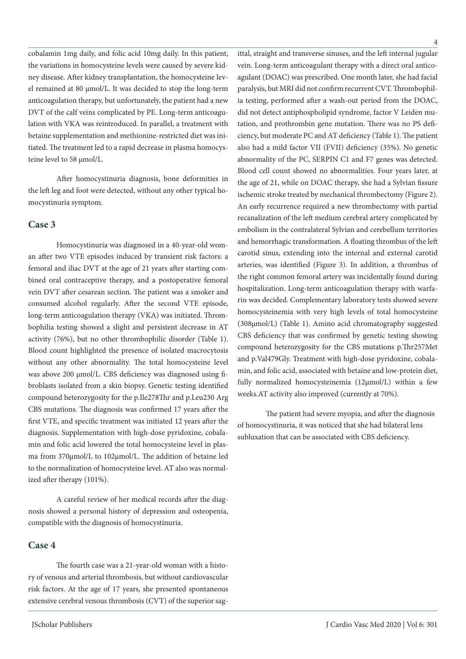cobalamin 1mg daily, and folic acid 10mg daily. In this patient, the variations in homocysteine levels were caused by severe kidney disease. After kidney transplantation, the homocysteine level remained at 80 µmol/L. It was decided to stop the long-term anticoagulation therapy, but unfortunately, the patient had a new DVT of the calf veins complicated by PE. Long-term anticoagulation with VKA was reintroduced. In parallel, a treatment with betaine supplementation and methionine-restricted diet was initiated. The treatment led to a rapid decrease in plasma homocysteine level to 58 µmol/L.

After homocystinuria diagnosis, bone deformities in the left leg and foot were detected, without any other typical homocystinuria symptom.

### **Case 3**

Homocystinuria was diagnosed in a 40-year-old woman after two VTE episodes induced by transient risk factors: a femoral and iliac DVT at the age of 21 years after starting combined oral contraceptive therapy, and a postoperative femoral vein DVT after cesarean section. The patient was a smoker and consumed alcohol regularly. After the second VTE episode, long-term anticoagulation therapy (VKA) was initiated. Thrombophilia testing showed a slight and persistent decrease in AT activity (76%), but no other thrombophilic disorder (Table 1). Blood count highlighted the presence of isolated macrocytosis without any other abnormality. The total homocysteine level was above 200 µmol/L. CBS deficiency was diagnosed using fibroblasts isolated from a skin biopsy. Genetic testing identified compound heterozygosity for the p.Ile278Thr and p.Leu230 Arg CBS mutations. The diagnosis was confirmed 17 years after the first VTE, and specific treatment was initiated 12 years after the diagnosis. Supplementation with high-dose pyridoxine, cobalamin and folic acid lowered the total homocysteine level in plasma from 370µmol/L to 102µmol/L. The addition of betaine led to the normalization of homocysteine level. AT also was normalized after therapy (101%).

A careful review of her medical records after the diagnosis showed a personal history of depression and osteopenia, compatible with the diagnosis of homocystinuria.

## **Case 4**

The fourth case was a 21-year-old woman with a history of venous and arterial thrombosis, but without cardiovascular risk factors. At the age of 17 years, she presented spontaneous extensive cerebral venous thrombosis (CVT) of the superior sagittal, straight and transverse sinuses, and the left internal jugular vein. Long-term anticoagulant therapy with a direct oral anticoagulant (DOAC) was prescribed. One month later, she had facial paralysis, but MRI did not confirm recurrent CVT. Thrombophilia testing, performed after a wash-out period from the DOAC, did not detect antiphospholipid syndrome, factor V Leiden mutation, and prothrombin gene mutation. There was no PS deficiency, but moderate PC and AT deficiency (Table 1). The patient also had a mild factor VII (FVII) deficiency (35%). No genetic abnormality of the PC, SERPIN C1 and F7 genes was detected. Blood cell count showed no abnormalities. Four years later, at the age of 21, while on DOAC therapy, she had a Sylvian fissure ischemic stroke treated by mechanical thrombectomy (Figure 2). An early recurrence required a new thrombectomy with partial recanalization of the left medium cerebral artery complicated by embolism in the contralateral Sylvian and cerebellum territories and hemorrhagic transformation. A floating thrombus of the left carotid sinus, extending into the internal and external carotid arteries, was identified (Figure 3). In addition, a thrombus of the right common femoral artery was incidentally found during hospitalization. Long-term anticoagulation therapy with warfarin was decided. Complementary laboratory tests showed severe homocysteinemia with very high levels of total homocysteine (308µmol/L) (Table 1). Amino acid chromatography suggested CBS deficiency that was confirmed by genetic testing showing compound heterozygosity for the CBS mutations p.Thr257Met and p.Val479Gly. Treatment with high-dose pyridoxine, cobalamin, and folic acid, associated with betaine and low-protein diet, fully normalized homocysteinemia (12µmol/L) within a few weeks.AT activity also improved (currently at 70%).

The patient had severe myopia, and after the diagnosis of homocystinuria, it was noticed that she had bilateral lens subluxation that can be associated with CBS deficiency.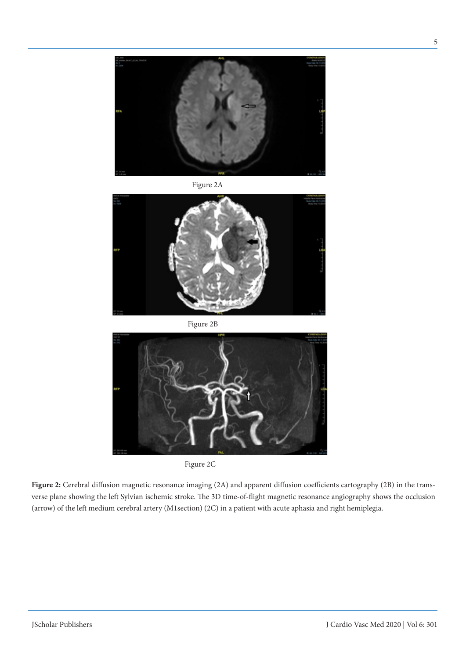

Figure 2A



Figure 2B



Figure 2C

**Figure 2:** Cerebral diffusion magnetic resonance imaging (2A) and apparent diffusion coefficients cartography (2B) in the transverse plane showing the left Sylvian ischemic stroke. The 3D time-of-flight magnetic resonance angiography shows the occlusion (arrow) of the left medium cerebral artery (M1section) (2C) in a patient with acute aphasia and right hemiplegia.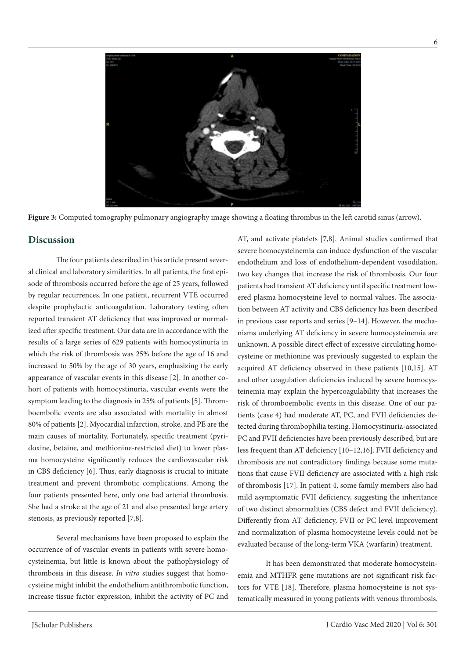

**Figure 3:** Computed tomography pulmonary angiography image showing a floating thrombus in the left carotid sinus (arrow).

#### **Discussion**

The four patients described in this article present several clinical and laboratory similarities. In all patients, the first episode of thrombosis occurred before the age of 25 years, followed by regular recurrences. In one patient, recurrent VTE occurred despite prophylactic anticoagulation. Laboratory testing often reported transient AT deficiency that was improved or normalized after specific treatment. Our data are in accordance with the results of a large series of 629 patients with homocystinuria in which the risk of thrombosis was 25% before the age of 16 and increased to 50% by the age of 30 years, emphasizing the early appearance of vascular events in this disease [2]. In another cohort of patients with homocystinuria, vascular events were the symptom leading to the diagnosis in 25% of patients [5]. Thromboembolic events are also associated with mortality in almost 80% of patients [2]. Myocardial infarction, stroke, and PE are the main causes of mortality. Fortunately, specific treatment (pyridoxine, betaine, and methionine-restricted diet) to lower plasma homocysteine significantly reduces the cardiovascular risk in CBS deficiency [6]. Thus, early diagnosis is crucial to initiate treatment and prevent thrombotic complications. Among the four patients presented here, only one had arterial thrombosis. She had a stroke at the age of 21 and also presented large artery stenosis, as previously reported [7,8].

Several mechanisms have been proposed to explain the occurrence of of vascular events in patients with severe homocysteinemia, but little is known about the pathophysiology of thrombosis in this disease. *In vitro* studies suggest that homocysteine might inhibit the endothelium antithrombotic function, increase tissue factor expression, inhibit the activity of PC and AT, and activate platelets [7,8]. Animal studies confirmed that severe homocysteinemia can induce dysfunction of the vascular endothelium and loss of endothelium-dependent vasodilation, two key changes that increase the risk of thrombosis. Our four patients had transient AT deficiency until specific treatment lowered plasma homocysteine level to normal values. The association between AT activity and CBS deficiency has been described in previous case reports and series [9–14]. However, the mechanisms underlying AT deficiency in severe homocysteinemia are unknown. A possible direct effect of excessive circulating homocysteine or methionine was previously suggested to explain the acquired AT deficiency observed in these patients [10,15]. AT and other coagulation deficiencies induced by severe homocysteinemia may explain the hypercoagulability that increases the risk of thromboembolic events in this disease. One of our patients (case 4) had moderate AT, PC, and FVII deficiencies detected during thrombophilia testing. Homocystinuria-associated PC and FVII deficiencies have been previously described, but are less frequent than AT deficiency [10–12,16]. FVII deficiency and thrombosis are not contradictory findings because some mutations that cause FVII deficiency are associated with a high risk of thrombosis [17]. In patient 4, some family members also had mild asymptomatic FVII deficiency, suggesting the inheritance of two distinct abnormalities (CBS defect and FVII deficiency). Differently from AT deficiency, FVII or PC level improvement and normalization of plasma homocysteine levels could not be evaluated because of the long-term VKA (warfarin) treatment.

It has been demonstrated that moderate homocysteinemia and MTHFR gene mutations are not significant risk factors for VTE [18]. Therefore, plasma homocysteine is not systematically measured in young patients with venous thrombosis.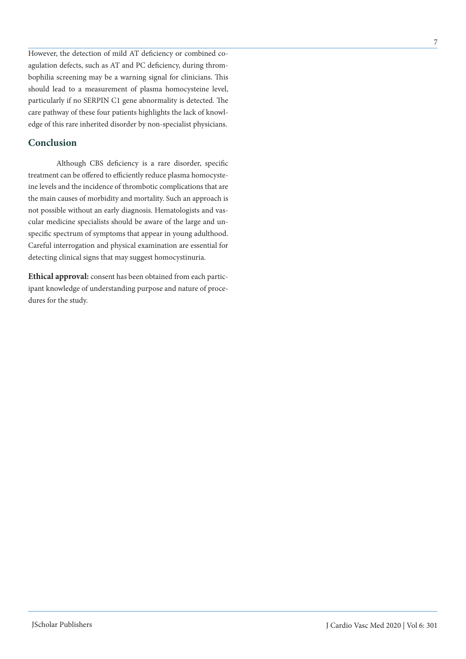However, the detection of mild AT deficiency or combined coagulation defects, such as AT and PC deficiency, during thrombophilia screening may be a warning signal for clinicians. This should lead to a measurement of plasma homocysteine level, particularly if no SERPIN C1 gene abnormality is detected. The care pathway of these four patients highlights the lack of knowledge of this rare inherited disorder by non-specialist physicians.

## **Conclusion**

Although CBS deficiency is a rare disorder, specific treatment can be offered to efficiently reduce plasma homocysteine levels and the incidence of thrombotic complications that are the main causes of morbidity and mortality. Such an approach is not possible without an early diagnosis. Hematologists and vascular medicine specialists should be aware of the large and unspecific spectrum of symptoms that appear in young adulthood. Careful interrogation and physical examination are essential for detecting clinical signs that may suggest homocystinuria.

**Ethical approval:** consent has been obtained from each participant knowledge of understanding purpose and nature of procedures for the study.